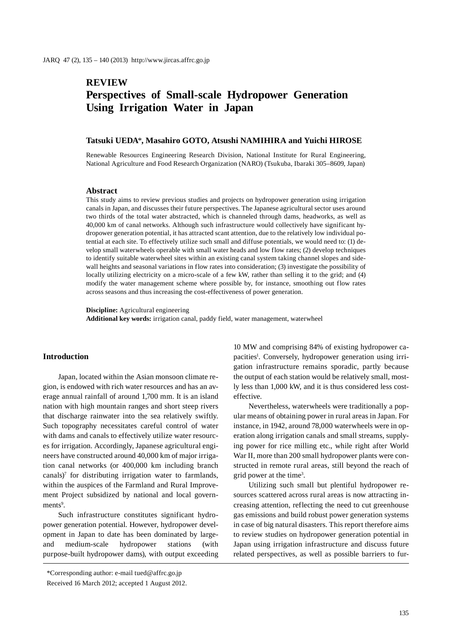# **REVIEW Perspectives of Small-scale Hydropower Generation Using Irrigation Water in Japan**

### **Tatsuki UEDA**\***, Masahiro GOTO, Atsushi NAMIHIRA and Yuichi HIROSE**

Renewable Resources Engineering Research Division, National Institute for Rural Engineering, National Agriculture and Food Research Organization (NARO) (Tsukuba, Ibaraki 305–8609, Japan)

#### **Abstract**

This study aims to review previous studies and projects on hydropower generation using irrigation canals in Japan, and discusses their future perspectives. The Japanese agricultural sector uses around two thirds of the total water abstracted, which is channeled through dams, headworks, as well as 40,000 km of canal networks. Although such infrastructure would collectively have significant hydropower generation potential, it has attracted scant attention, due to the relatively low individual potential at each site. To effectively utilize such small and diffuse potentials, we would need to: (1) develop small waterwheels operable with small water heads and low flow rates; (2) develop techniques to identify suitable waterwheel sites within an existing canal system taking channel slopes and sidewall heights and seasonal variations in flow rates into consideration; (3) investigate the possibility of locally utilizing electricity on a micro-scale of a few kW, rather than selling it to the grid; and (4) modify the water management scheme where possible by, for instance, smoothing out flow rates across seasons and thus increasing the cost-effectiveness of power generation.

**Discipline:** Agricultural engineering **Additional key words:** irrigation canal, paddy field, water management, waterwheel

### **Introduction**

Japan, located within the Asian monsoon climate region, is endowed with rich water resources and has an average annual rainfall of around 1,700 mm. It is an island nation with high mountain ranges and short steep rivers that discharge rainwater into the sea relatively swiftly. Such topography necessitates careful control of water with dams and canals to effectively utilize water resources for irrigation. Accordingly, Japanese agricultural engineers have constructed around 40,000 km of major irrigation canal networks (or 400,000 km including branch canals)<sup>7</sup> for distributing irrigation water to farmlands, within the auspices of the Farmland and Rural Improvement Project subsidized by national and local governments<sup>9</sup>.

Such infrastructure constitutes significant hydropower generation potential. However, hydropower development in Japan to date has been dominated by largeand medium-scale hydropower stations (with purpose-built hydropower dams), with output exceeding

\*Corresponding author: e-mail tued@affrc.go.jp

10 MW and comprising 84% of existing hydropower capacities<sup>1</sup>. Conversely, hydropower generation using irrigation infrastructure remains sporadic, partly because the output of each station would be relatively small, mostly less than 1,000 kW, and it is thus considered less costeffective.

Nevertheless, waterwheels were traditionally a popular means of obtaining power in rural areas in Japan. For instance, in 1942, around 78,000 waterwheels were in operation along irrigation canals and small streams, supplying power for rice milling etc., while right after World War II, more than 200 small hydropower plants were constructed in remote rural areas, still beyond the reach of grid power at the time3 .

Utilizing such small but plentiful hydropower resources scattered across rural areas is now attracting increasing attention, reflecting the need to cut greenhouse gas emissions and build robust power generation systems in case of big natural disasters. This report therefore aims to review studies on hydropower generation potential in Japan using irrigation infrastructure and discuss future related perspectives, as well as possible barriers to fur-

Received 16 March 2012; accepted 1 August 2012.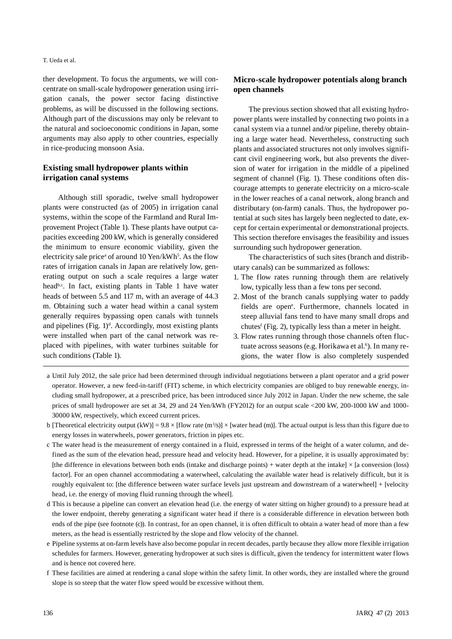#### T. Ueda et al.

ther development. To focus the arguments, we will concentrate on small-scale hydropower generation using irrigation canals, the power sector facing distinctive problems, as will be discussed in the following sections. Although part of the discussions may only be relevant to the natural and socioeconomic conditions in Japan, some arguments may also apply to other countries, especially in rice-producing monsoon Asia.

# **Existing small hydropower plants within irrigation canal systems**

Although still sporadic, twelve small hydropower plants were constructed (as of 2005) in irrigation canal systems, within the scope of the Farmland and Rural Improvement Project (Table 1). These plants have output capacities exceeding 200 kW, which is generally considered the minimum to ensure economic viability, given the electricity sale price<sup>*a*</sup> of around 10 Yen/kWh<sup>5</sup>. As the flow rates of irrigation canals in Japan are relatively low, generating output on such a scale requires a large water head<sup>b,c</sup>. In fact, existing plants in Table 1 have water heads of between 5.5 and 117 m, with an average of 44.3 m. Obtaining such a water head within a canal system generally requires bypassing open canals with tunnels and pipelines (Fig.  $1$ )<sup>d</sup>. Accordingly, most existing plants were installed when part of the canal network was replaced with pipelines, with water turbines suitable for such conditions (Table 1).

# **Micro-scale hydropower potentials along branch open channels**

The previous section showed that all existing hydropower plants were installed by connecting two points in a canal system via a tunnel and/or pipeline, thereby obtaining a large water head. Nevertheless, constructing such plants and associated structures not only involves significant civil engineering work, but also prevents the diversion of water for irrigation in the middle of a pipelined segment of channel (Fig. 1). These conditions often discourage attempts to generate electricity on a micro-scale in the lower reaches of a canal network, along branch and distributary (on-farm) canals. Thus, the hydropower potential at such sites has largely been neglected to date, except for certain experimental or demonstrational projects. This section therefore envisages the feasibility and issues surrounding such hydropower generation.

The characteristics of such sites (branch and distributary canals) can be summarized as follows:

- 1. The flow rates running through them are relatively low, typically less than a few tons per second.
- 2. Most of the branch canals supplying water to paddy fields are open<sup>e</sup>. Furthermore, channels located in steep alluvial fans tend to have many small drops and chutes<sup>f</sup> (Fig. 2), typically less than a meter in height.
- 3. Flow rates running through those channels often fluctuate across seasons (e.g. Horikawa et al.<sup>6</sup>). In many regions, the water flow is also completely suspended
- a Until July 2012, the sale price had been determined through individual negotiations between a plant operator and a grid power operator. However, a new feed-in-tariff (FIT) scheme, in which electricity companies are obliged to buy renewable energy, including small hydropower, at a prescribed price, has been introduced since July 2012 in Japan. Under the new scheme, the sale prices of small hydropower are set at 34, 29 and 24 Yen/kWh (FY2012) for an output scale <200 kW, 200-1000 kW and 1000- 30000 kW, respectively, which exceed current prices.
- b [Theoretical electricity output  $(kW)$ ] = 9.8 × [flow rate  $(m^3/s)$ ] × [water head (m)]. The actual output is less than this figure due to energy losses in waterwheels, power generators, friction in pipes etc.
- c The water head is the measurement of energy contained in a fluid, expressed in terms of the height of a water column, and defined as the sum of the elevation head, pressure head and velocity head. However, for a pipeline, it is usually approximated by: [the difference in elevations between both ends (intake and discharge points) + water depth at the intake]  $\times$  [a conversion (loss) factor]. For an open channel accommodating a waterwheel, calculating the available water head is relatively difficult, but it is roughly equivalent to: [the difference between water surface levels just upstream and downstream of a waterwheel] + [velocity head, i.e. the energy of moving fluid running through the wheel].
- d This is because a pipeline can convert an elevation head (i.e. the energy of water sitting on higher ground) to a pressure head at the lower endpoint, thereby generating a significant water head if there is a considerable difference in elevation between both ends of the pipe (see footnote (c)). In contrast, for an open channel, it is often difficult to obtain a water head of more than a few meters, as the head is essentially restricted by the slope and flow velocity of the channel.
- e Pipeline systems at on-farm levels have also become popular in recent decades, partly because they allow more flexible irrigation schedules for farmers. However, generating hydropower at such sites is difficult, given the tendency for intermittent water flows and is hence not covered here.
- f These facilities are aimed at rendering a canal slope within the safety limit. In other words, they are installed where the ground slope is so steep that the water flow speed would be excessive without them.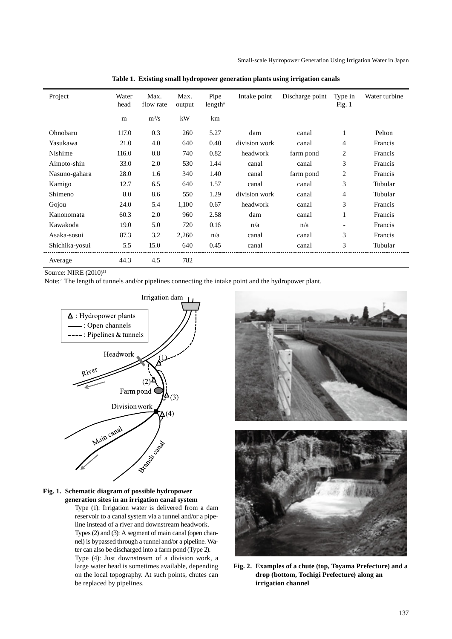| Project        | Water<br>head | Max.<br>flow rate | Max.<br>output | Pipe<br>length <sup>a</sup> | Intake point  | Discharge point | Type in<br>Fig. $1$ | Water turbine |
|----------------|---------------|-------------------|----------------|-----------------------------|---------------|-----------------|---------------------|---------------|
|                | m             | $m^3/s$           | kW             | km                          |               |                 |                     |               |
| Ohnobaru       | 117.0         | 0.3               | 260            | 5.27                        | dam           | canal           | 1                   | Pelton        |
| Yasukawa       | 21.0          | 4.0               | 640            | 0.40                        | division work | canal           | 4                   | Francis       |
| Nishime        | 116.0         | 0.8               | 740            | 0.82                        | headwork      | farm pond       | $\overline{2}$      | Francis       |
| Aimoto-shin    | 33.0          | 2.0               | 530            | 1.44                        | canal         | canal           | 3                   | Francis       |
| Nasuno-gahara  | 28.0          | 1.6               | 340            | 1.40                        | canal         | farm pond       | 2                   | Francis       |
| Kamigo         | 12.7          | 6.5               | 640            | 1.57                        | canal         | canal           | 3                   | Tubular       |
| Shimeno        | 8.0           | 8.6               | 550            | 1.29                        | division work | canal           | 4                   | Tubular       |
| Gojou          | 24.0          | 5.4               | 1,100          | 0.67                        | headwork      | canal           | 3                   | Francis       |
| Kanonomata     | 60.3          | 2.0               | 960            | 2.58                        | dam           | canal           | 1                   | Francis       |
| Kawakoda       | 19.0          | 5.0               | 720            | 0.16                        | n/a           | n/a             |                     | Francis       |
| Asaka-sosui    | 87.3          | 3.2               | 2,260          | n/a                         | canal         | canal           | 3                   | Francis       |
| Shichika-yosui | 5.5           | 15.0              | 640            | 0.45                        | canal         | canal           | 3                   | Tubular       |
| Average        | 44.3          | 4.5               | 782            |                             |               |                 |                     |               |

**Table 1. Existing small hydropower generation plants using irrigation canals**

Source: NIRE (2010)<sup>11</sup>

Note: a The length of tunnels and/or pipelines connecting the intake point and the hydropower plant.



### **Fig. 1. Schematic diagram of possible hydropower generation sites in an irrigation canal system**

Type (1): Irrigation water is delivered from a dam reservoir to a canal system via a tunnel and/or a pipeline instead of a river and downstream headwork. Types (2) and (3): A segment of main canal (open channel) is bypassed through a tunnel and/or a pipeline. Water can also be discharged into a farm pond (Type 2). Type (4): Just downstream of a division work, a large water head is sometimes available, depending on the local topography. At such points, chutes can be replaced by pipelines.



**Fig. 2. Examples of a chute (top, Toyama Prefecture) and a drop (bottom, Tochigi Prefecture) along an irrigation channel**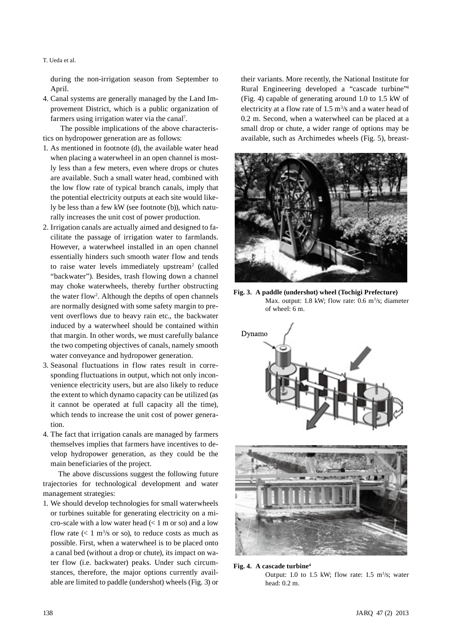T. Ueda et al.

during the non-irrigation season from September to April.

4. Canal systems are generally managed by the Land Improvement District, which is a public organization of farmers using irrigation water via the canal<sup>7</sup>.

 The possible implications of the above characteristics on hydropower generation are as follows:

- 1. As mentioned in footnote (d), the available water head when placing a waterwheel in an open channel is mostly less than a few meters, even where drops or chutes are available. Such a small water head, combined with the low flow rate of typical branch canals, imply that the potential electricity outputs at each site would likely be less than a few kW (see footnote (b)), which naturally increases the unit cost of power production.
- 2. Irrigation canals are actually aimed and designed to facilitate the passage of irrigation water to farmlands. However, a waterwheel installed in an open channel essentially hinders such smooth water flow and tends to raise water levels immediately upstream<sup>2</sup> (called "backwater"). Besides, trash flowing down a channel may choke waterwheels, thereby further obstructing the water flow2 . Although the depths of open channels are normally designed with some safety margin to prevent overflows due to heavy rain etc., the backwater induced by a waterwheel should be contained within that margin. In other words, we must carefully balance the two competing objectives of canals, namely smooth water conveyance and hydropower generation.
- 3. Seasonal fluctuations in flow rates result in corresponding fluctuations in output, which not only inconvenience electricity users, but are also likely to reduce the extent to which dynamo capacity can be utilized (as it cannot be operated at full capacity all the time), which tends to increase the unit cost of power generation.
- 4. The fact that irrigation canals are managed by farmers themselves implies that farmers have incentives to develop hydropower generation, as they could be the main beneficiaries of the project.

The above discussions suggest the following future trajectories for technological development and water management strategies:

1. We should develop technologies for small waterwheels or turbines suitable for generating electricity on a micro-scale with a low water head  $(< 1 \text{ m or so})$  and a low flow rate  $(< 1 \text{ m}^3/\text{s}$  or so), to reduce costs as much as possible. First, when a waterwheel is to be placed onto a canal bed (without a drop or chute), its impact on water flow (i.e. backwater) peaks. Under such circumstances, therefore, the major options currently available are limited to paddle (undershot) wheels (Fig. 3) or

their variants. More recently, the National Institute for Rural Engineering developed a "cascade turbine"4 (Fig. 4) capable of generating around 1.0 to 1.5 kW of electricity at a flow rate of  $1.5 \text{ m}^3/\text{s}$  and a water head of 0.2 m. Second, when a waterwheel can be placed at a small drop or chute, a wider range of options may be available, such as Archimedes wheels (Fig. 5), breast-



**Fig. 3. A paddle (undershot) wheel (Tochigi Prefecture)** Max. output: 1.8 kW; flow rate: 0.6 m<sup>3</sup>/s; diameter of wheel: 6 m.





**Fig. 4. A cascade turbine4** Output: 1.0 to 1.5 kW; flow rate:  $1.5 \text{ m}^3/\text{s}$ ; water head: 0.2 m.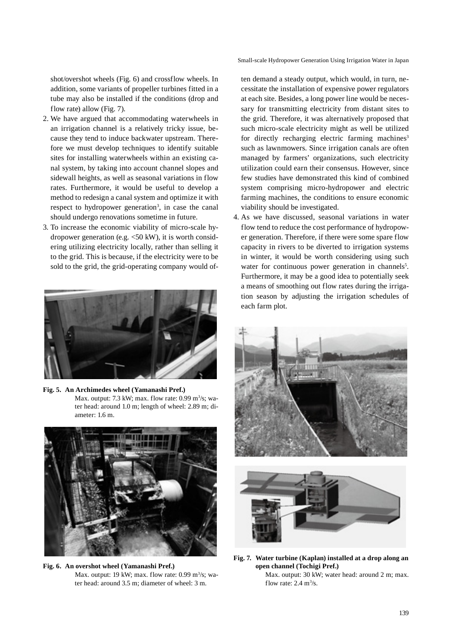Small-scale Hydropower Generation Using Irrigation Water in Japan

shot/overshot wheels (Fig. 6) and crossflow wheels. In addition, some variants of propeller turbines fitted in a tube may also be installed if the conditions (drop and flow rate) allow (Fig. 7).

- 2. We have argued that accommodating waterwheels in an irrigation channel is a relatively tricky issue, because they tend to induce backwater upstream. Therefore we must develop techniques to identify suitable sites for installing waterwheels within an existing canal system, by taking into account channel slopes and sidewall heights, as well as seasonal variations in flow rates. Furthermore, it would be useful to develop a method to redesign a canal system and optimize it with respect to hydropower generation<sup>3</sup>, in case the canal should undergo renovations sometime in future.
- 3. To increase the economic viability of micro-scale hydropower generation (e.g.  $\langle 50 \text{ kW} \rangle$ , it is worth considering utilizing electricity locally, rather than selling it to the grid. This is because, if the electricity were to be sold to the grid, the grid-operating company would of-



**Fig. 5. An Archimedes wheel (Yamanashi Pref.)** Max. output: 7.3 kW; max. flow rate: 0.99 m<sup>3</sup>/s; water head: around 1.0 m; length of wheel: 2.89 m; diameter: 1.6 m.



**Fig. 6. An overshot wheel (Yamanashi Pref.)** Max. output: 19 kW; max. flow rate:  $0.99 \text{ m}^3/\text{s}$ ; water head: around 3.5 m; diameter of wheel: 3 m.

ten demand a steady output, which would, in turn, necessitate the installation of expensive power regulators at each site. Besides, a long power line would be necessary for transmitting electricity from distant sites to the grid. Therefore, it was alternatively proposed that such micro-scale electricity might as well be utilized for directly recharging electric farming machines<sup>3</sup> such as lawnmowers. Since irrigation canals are often managed by farmers' organizations, such electricity utilization could earn their consensus. However, since few studies have demonstrated this kind of combined system comprising micro-hydropower and electric farming machines, the conditions to ensure economic viability should be investigated.

4. As we have discussed, seasonal variations in water flow tend to reduce the cost performance of hydropower generation. Therefore, if there were some spare flow capacity in rivers to be diverted to irrigation systems in winter, it would be worth considering using such water for continuous power generation in channels<sup>5</sup>. Furthermore, it may be a good idea to potentially seek a means of smoothing out flow rates during the irrigation season by adjusting the irrigation schedules of each farm plot.





**Fig. 7. Water turbine (Kaplan) installed at a drop along an open channel (Tochigi Pref.)** Max. output: 30 kW; water head: around 2 m; max.

flow rate:  $2.4 \text{ m}^3/\text{s}$ .